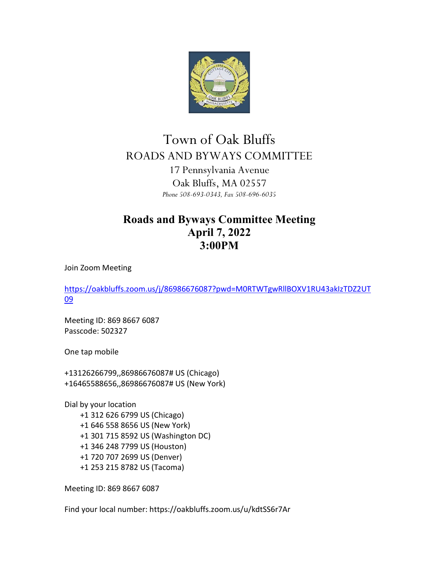

## Town of Oak Bluffs ROADS AND BYWAYS COMMITTEE 17 Pennsylvania Avenue Oak Bluffs, MA 02557 *Phone 508-693-0343, Fax 508-696-6035*

## **Roads and Byways Committee Meeting April 7, 2022 3:00PM**

Join Zoom Meeting

[https://oakbluffs.zoom.us/j/86986676087?pwd=M0RTWTgwRllBOXV1RU43akIzTDZ2UT](https://oakbluffs.zoom.us/j/86986676087?pwd=M0RTWTgwRllBOXV1RU43akIzTDZ2UT09) [09](https://oakbluffs.zoom.us/j/86986676087?pwd=M0RTWTgwRllBOXV1RU43akIzTDZ2UT09)

Meeting ID: 869 8667 6087 Passcode: 502327

One tap mobile

+13126266799,,86986676087# US (Chicago) +16465588656,,86986676087# US (New York)

Dial by your location +1 312 626 6799 US (Chicago) +1 646 558 8656 US (New York) +1 301 715 8592 US (Washington DC) +1 346 248 7799 US (Houston) +1 720 707 2699 US (Denver) +1 253 215 8782 US (Tacoma)

Meeting ID: 869 8667 6087

Find your local number: https://oakbluffs.zoom.us/u/kdtSS6r7Ar